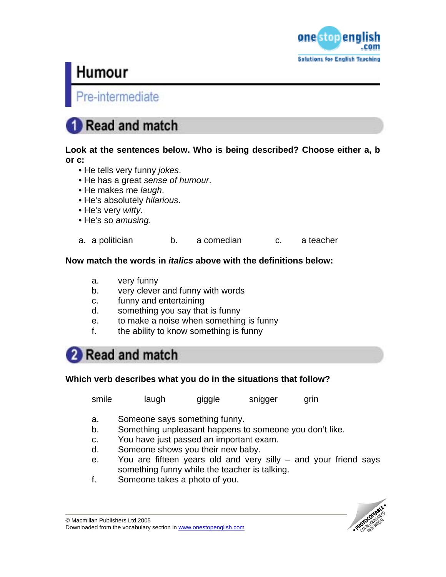

## e-intermediate

## Read and match

### **Look at the sentences below. Who is being described? Choose either a, b or c:**

- He tells very funny *jokes*.
- He has a great *sense of humour*.
- He makes me *laugh*.
- He's absolutely *hilarious*.
- He's very *witty*.
- He's so *amusing*.

a. a politician b. a comedian c. a teacher

### **Now match the words in** *italics* **above with the definitions below:**

- a. very funny
- b. very clever and funny with words
- c. funny and entertaining
- d. something you say that is funny
- e. to make a noise when something is funny
- f. the ability to know something is funny

## 2 Read and match

### **Which verb describes what you do in the situations that follow?**

smile laugh giggle snigger grin

- a. Someone says something funny.
- b. Something unpleasant happens to someone you don't like.
- c. You have just passed an important exam.
- d. Someone shows you their new baby.
- e. You are fifteen years old and very silly and your friend says something funny while the teacher is talking.
- f. Someone takes a photo of you.

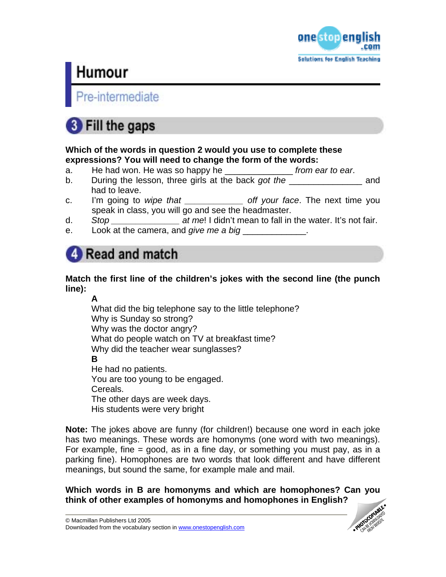

e-intermediate

## **8** Fill the gaps

### **Which of the words in question 2 would you use to complete these expressions? You will need to change the form of the words:**

- a. He had won. He was so happy he \_\_\_\_\_\_\_\_\_\_\_\_\_\_ *from ear to ear*.
- b. During the lesson, three girls at the back *got the* \_\_\_\_\_\_\_\_\_\_\_\_\_\_\_ and had to leave.
- c. I'm going to *wipe that \_\_\_\_\_\_\_\_\_\_\_\_ off your face*. The next time you speak in class, you will go and see the headmaster.
- d. *Stop \_\_\_\_\_\_\_\_\_\_\_\_\_\_ at me*! I didn't mean to fall in the water. It's not fair.
- e. Look at the camera, and *give me a big*

## Read and match

## **Match the first line of the children's jokes with the second line (the punch line):**

## **A**

What did the big telephone say to the little telephone? Why is Sunday so strong? Why was the doctor angry? What do people watch on TV at breakfast time? Why did the teacher wear sunglasses? **B**  He had no patients. You are too young to be engaged. Cereals. The other days are week days. His students were very bright

**Note:** The jokes above are funny (for children!) because one word in each joke has two meanings. These words are homonyms (one word with two meanings). For example, fine  $=$  good, as in a fine day, or something you must pay, as in a parking fine). Homophones are two words that look different and have different meanings, but sound the same, for example male and mail.

**Which words in B are homonyms and which are homophones? Can you think of other examples of homonyms and homophones in English?** 

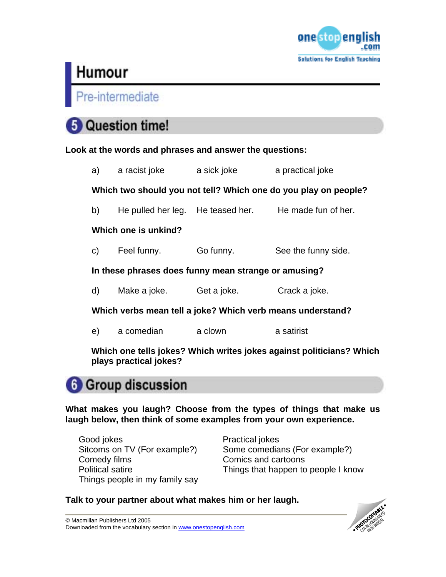

Pre-intermediate

## **Question time!**

**Look at the words and phrases and answer the questions:** 

|                                                                 | a) a racist joke   | a sick joke | a practical joke                                      |
|-----------------------------------------------------------------|--------------------|-------------|-------------------------------------------------------|
| Which two should you not tell? Which one do you play on people? |                    |             |                                                       |
| b)                                                              |                    |             | He pulled her leg. He teased her. He made fun of her. |
| Which one is unkind?                                            |                    |             |                                                       |
| C)                                                              | Feel funny.        | Go funny.   | See the funny side.                                   |
| In these phrases does funny mean strange or amusing?            |                    |             |                                                       |
| d)                                                              | Make a joke.       | Get a joke. | Crack a joke.                                         |
| Which verbs mean tell a joke? Which verb means understand?      |                    |             |                                                       |
| e)                                                              | a comedian a clown |             | a satirist                                            |
| $[0.00]$                                                        |                    |             |                                                       |

**Which one tells jokes? Which writes jokes against politicians? Which plays practical jokes?** 

## **6** Group discussion

**What makes you laugh? Choose from the types of things that make us laugh below, then think of some examples from your own experience.** 

Good jokes **Practical jokes** Comedy films Comics and cartoons Things people in my family say

Sitcoms on TV (For example?) Some comedians (For example?) Political satire Things that happen to people I know

## **Talk to your partner about what makes him or her laugh.**

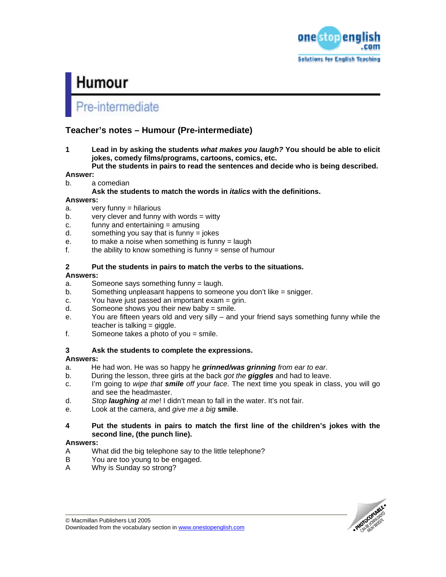

## re-intermediate

### **Teacher's notes – Humour (Pre-intermediate)**

**1 Lead in by asking the students** *what makes you laugh?* **You should be able to elicit jokes, comedy films/programs, cartoons, comics, etc.** 

**Put the students in pairs to read the sentences and decide who is being described.** 

### **Answer:**

- b. a comedian
	- **Ask the students to match the words in** *italics* **with the definitions.**

### **Answers:**

- a. very funny = hilarious
- $b.$  very clever and funny with words = witty
- c. funny and entertaining = amusing
- $d.$  something you say that is funny = jokes
- e. to make a noise when something is funny = laugh
- f. the ability to know something is funny  $=$  sense of humour

### **2 Put the students in pairs to match the verbs to the situations.**

### **Answers:**

- a. Someone says something funny = laugh.
- b. Something unpleasant happens to someone you don't like = snigger.
- c. You have just passed an important  $exam = grin$ .
- d. Someone shows you their new baby = smile.
- e. You are fifteen years old and very silly and your friend says something funny while the teacher is talking = giggle.
- f. Someone takes a photo of you = smile.

### **3 Ask the students to complete the expressions.**

### **Answers:**

- a. He had won. He was so happy he *grinned/was grinning from ear to ear*.
- b. During the lesson, three girls at the back *got the giggles* and had to leave.
- c. I'm going to *wipe that smile off your face*. The next time you speak in class, you will go and see the headmaster.
- d. *Stop laughing at me*! I didn't mean to fall in the water. It's not fair.
- e. Look at the camera, and *give me a big* **smile**.

### **4 Put the students in pairs to match the first line of the children's jokes with the second line, (the punch line).**

### **Answers:**

- A What did the big telephone say to the little telephone?
- B You are too young to be engaged.
- A Why is Sunday so strong?